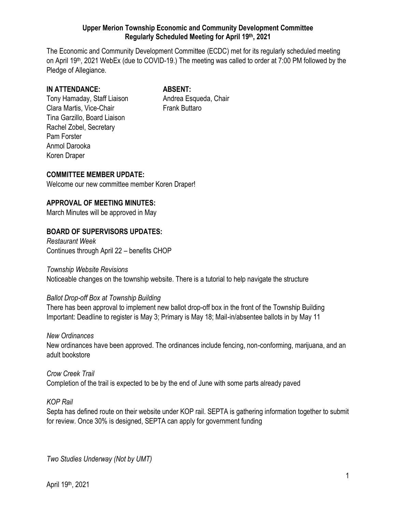## **Upper Merion Township Economic and Community Development Committee Regularly Scheduled Meeting for April 19 th, 2021**

The Economic and Community Development Committee (ECDC) met for its regularly scheduled meeting on April 19<sup>th</sup>, 2021 WebEx (due to COVID-19.) The meeting was called to order at 7:00 PM followed by the Pledge of Allegiance.

## **IN ATTENDANCE: ABSENT:**

Tony Hamaday, Staff Liaison **Andrea Esqueda, Chair** Clara Martis, Vice-Chair **Frank Buttaro** Tina Garzillo, Board Liaison Rachel Zobel, Secretary Pam Forster Anmol Darooka Koren Draper

**COMMITTEE MEMBER UPDATE:**

Welcome our new committee member Koren Draper!

## **APPROVAL OF MEETING MINUTES:**

March Minutes will be approved in May

# **BOARD OF SUPERVISORS UPDATES:**

*Restaurant Week* Continues through April 22 – benefits CHOP

## *Township Website Revisions*

Noticeable changes on the township website. There is a tutorial to help navigate the structure

## *Ballot Drop-off Box at Township Building*

There has been approval to implement new ballot drop-off box in the front of the Township Building Important: Deadline to register is May 3; Primary is May 18; Mail-in/absentee ballots in by May 11

## *New Ordinances*

New ordinances have been approved. The ordinances include fencing, non-conforming, marijuana, and an adult bookstore

## *Crow Creek Trail* Completion of the trail is expected to be by the end of June with some parts already paved

## *KOP Rail*

Septa has defined route on their website under KOP rail. SEPTA is gathering information together to submit for review. Once 30% is designed, SEPTA can apply for government funding

*Two Studies Underway (Not by UMT)*